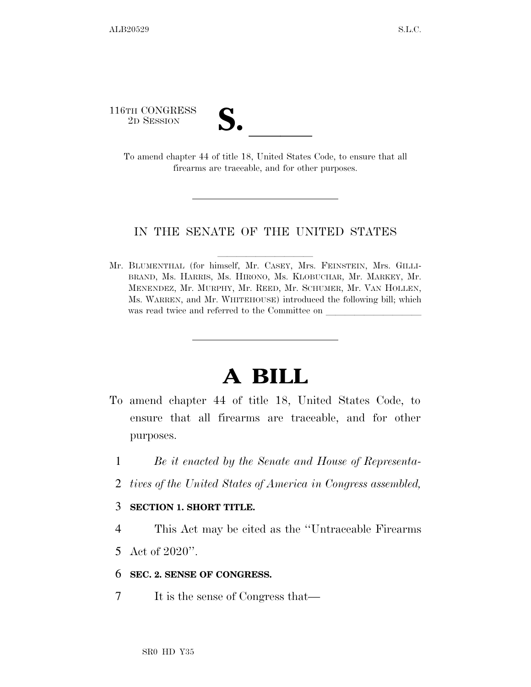116TH CONGRESS

TH CONGRESS<br>
2D SESSION<br>
To amend chapter 44 of title 18, United States Code, to ensure that all firearms are traceable, and for other purposes.

## IN THE SENATE OF THE UNITED STATES

Mr. BLUMENTHAL (for himself, Mr. CASEY, Mrs. FEINSTEIN, Mrs. GILLI-BRAND, Ms. HARRIS, Ms. HIRONO, Ms. KLOBUCHAR, Mr. MARKEY, Mr. MENENDEZ, Mr. MURPHY, Mr. REED, Mr. SCHUMER, Mr. VAN HOLLEN, Ms. WARREN, and Mr. WHITEHOUSE) introduced the following bill; which was read twice and referred to the Committee on

## **A BILL**

- To amend chapter 44 of title 18, United States Code, to ensure that all firearms are traceable, and for other purposes.
	- 1 *Be it enacted by the Senate and House of Representa-*
	- 2 *tives of the United States of America in Congress assembled,*

## 3 **SECTION 1. SHORT TITLE.**

- 4 This Act may be cited as the ''Untraceable Firearms
- 5 Act of 2020''.

## 6 **SEC. 2. SENSE OF CONGRESS.**

7 It is the sense of Congress that—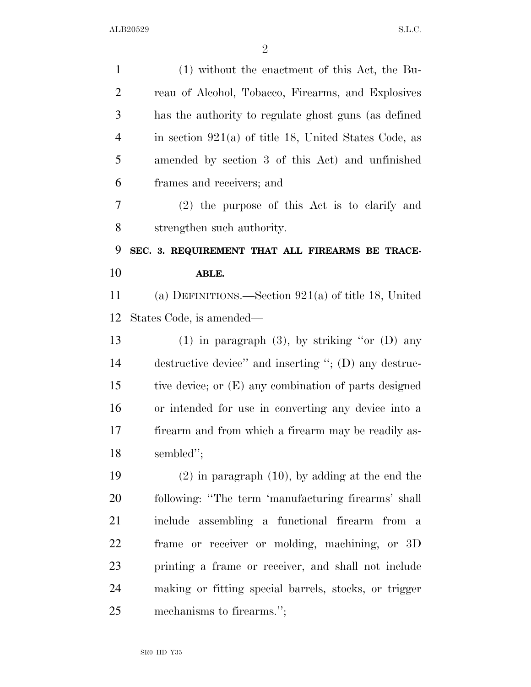| $\mathbf{1}$   | $(1)$ without the enactment of this Act, the Bu-        |
|----------------|---------------------------------------------------------|
| 2              | reau of Alcohol, Tobacco, Firearms, and Explosives      |
| 3              | has the authority to regulate ghost guns (as defined    |
| $\overline{4}$ | in section $921(a)$ of title 18, United States Code, as |
| 5              | amended by section 3 of this Act) and unfinished        |
| 6              | frames and receivers; and                               |
| 7              | (2) the purpose of this Act is to clarify and           |
| 8              | strengthen such authority.                              |
| 9              | SEC. 3. REQUIREMENT THAT ALL FIREARMS BE TRACE-         |
| 10             | ABLE.                                                   |
| 11             | (a) DEFINITIONS.—Section $921(a)$ of title 18, United   |
| 12             | States Code, is amended—                                |
| 13             | (1) in paragraph (3), by striking "or $(D)$ any         |
| 14             | destructive device" and inserting "; (D) any destruc-   |
| 15             | tive device; or (E) any combination of parts designed   |
| 16             | or intended for use in converting any device into a     |
| 17             | firearm and from which a firearm may be readily as-     |
| 18             | sembled";                                               |
| 19             | $(2)$ in paragraph $(10)$ , by adding at the end the    |
| 20             | following: "The term 'manufacturing firearms' shall     |
| 21             | include assembling a functional firearm from a          |
| 22             | frame or receiver or molding, machining, or 3D          |
| 23             | printing a frame or receiver, and shall not include     |
| 24             | making or fitting special barrels, stocks, or trigger   |
| 25             | mechanisms to firearms.";                               |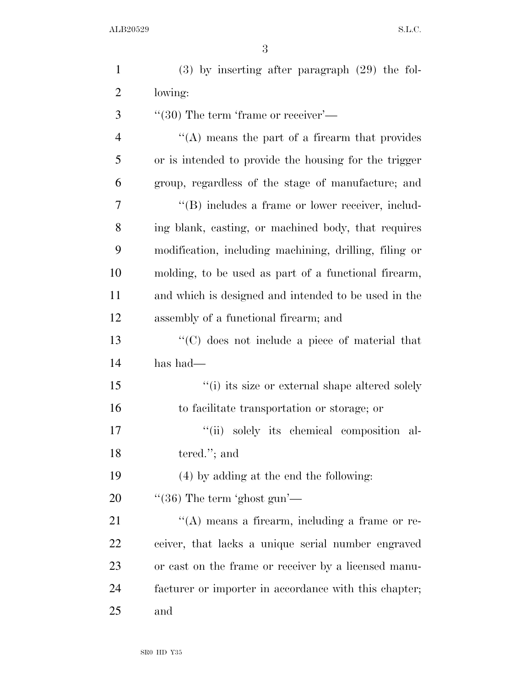| $\mathbf{1}$   | $(3)$ by inserting after paragraph $(29)$ the fol-     |
|----------------|--------------------------------------------------------|
| $\overline{2}$ | lowing:                                                |
| 3              | $``(30)$ The term 'frame or receiver'—                 |
| $\overline{4}$ | $\cdot$ (A) means the part of a firearm that provides  |
| 5              | or is intended to provide the housing for the trigger  |
| 6              | group, regardless of the stage of manufacture; and     |
| 7              | "(B) includes a frame or lower receiver, includ-       |
| 8              | ing blank, casting, or machined body, that requires    |
| 9              | modification, including machining, drilling, filing or |
| 10             | molding, to be used as part of a functional firearm,   |
| 11             | and which is designed and intended to be used in the   |
| 12             | assembly of a functional firearm; and                  |
| 13             | "(C) does not include a piece of material that         |
| 14             | has had—                                               |
| 15             | "(i) its size or external shape altered solely         |
| 16             | to facilitate transportation or storage; or            |
| 17             | ``(ii)<br>solely its chemical composition al-          |
| 18             | tered."; and                                           |
| 19             | (4) by adding at the end the following:                |
| 20             | $\cdot\cdot(36)$ The term 'ghost gun'—                 |
| 21             | $\lq\lq$ means a firearm, including a frame or re-     |
| 22             | ceiver, that lacks a unique serial number engraved     |
| 23             | or cast on the frame or receiver by a licensed manu-   |
| 24             | facturer or importer in accordance with this chapter;  |
| 25             | and                                                    |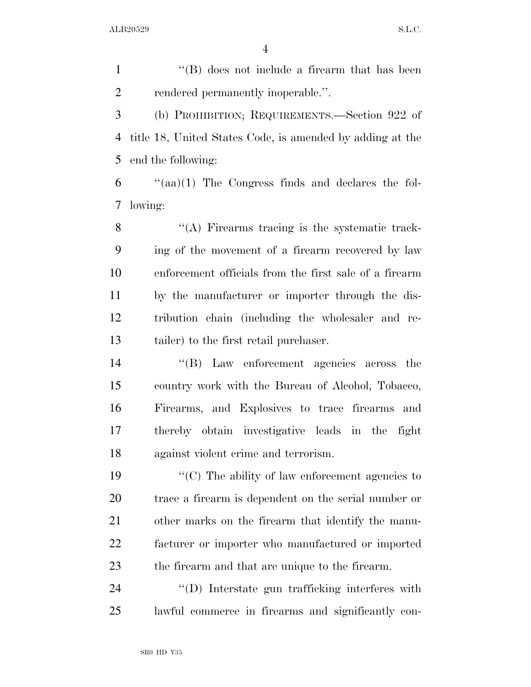1 ''(B) does not include a firearm that has been 2 rendered permanently inoperable.". (b) PROHIBITION; REQUIREMENTS.—Section 922 of title 18, United States Code, is amended by adding at the end the following: "(aa)(1) The Congress finds and declares the fol- lowing: 8 "(A) Firearms tracing is the systematic track- ing of the movement of a firearm recovered by law enforcement officials from the first sale of a firearm by the manufacturer or importer through the dis-

 tribution chain (including the wholesaler and re-tailer) to the first retail purchaser.

 ''(B) Law enforcement agencies across the country work with the Bureau of Alcohol, Tobacco, Firearms, and Explosives to trace firearms and thereby obtain investigative leads in the fight against violent crime and terrorism.

 ''(C) The ability of law enforcement agencies to trace a firearm is dependent on the serial number or other marks on the firearm that identify the manu- facturer or importer who manufactured or imported the firearm and that are unique to the firearm.

24  $\langle\text{(D)}\rangle$  Interstate gun trafficking interferes with lawful commerce in firearms and significantly con-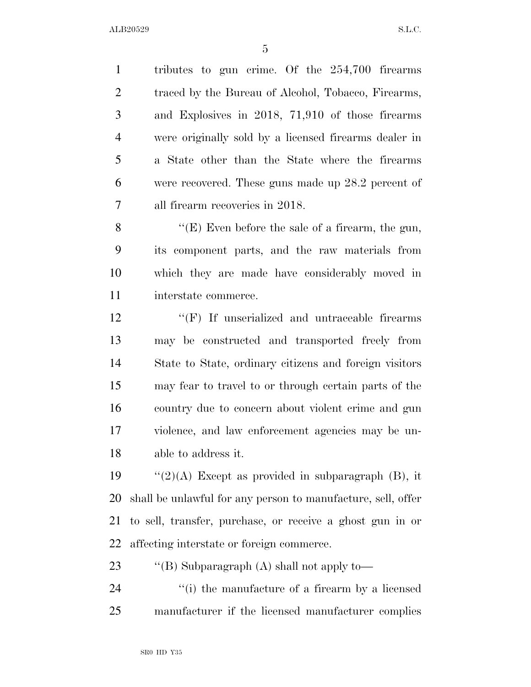tributes to gun crime. Of the 254,700 firearms 2 traced by the Bureau of Alcohol, Tobacco, Firearms, and Explosives in 2018, 71,910 of those firearms were originally sold by a licensed firearms dealer in a State other than the State where the firearms were recovered. These guns made up 28.2 percent of all firearm recoveries in 2018.

 ''(E) Even before the sale of a firearm, the gun, its component parts, and the raw materials from which they are made have considerably moved in interstate commerce.

12 "'(F) If unserialized and untraceable firearms may be constructed and transported freely from State to State, ordinary citizens and foreign visitors may fear to travel to or through certain parts of the country due to concern about violent crime and gun violence, and law enforcement agencies may be un-able to address it.

 $\frac{1}{2}(A)$  Except as provided in subparagraph (B), it shall be unlawful for any person to manufacture, sell, offer to sell, transfer, purchase, or receive a ghost gun in or affecting interstate or foreign commerce.

23 "'(B) Subparagraph (A) shall not apply to-

24 ''(i) the manufacture of a firearm by a licensed manufacturer if the licensed manufacturer complies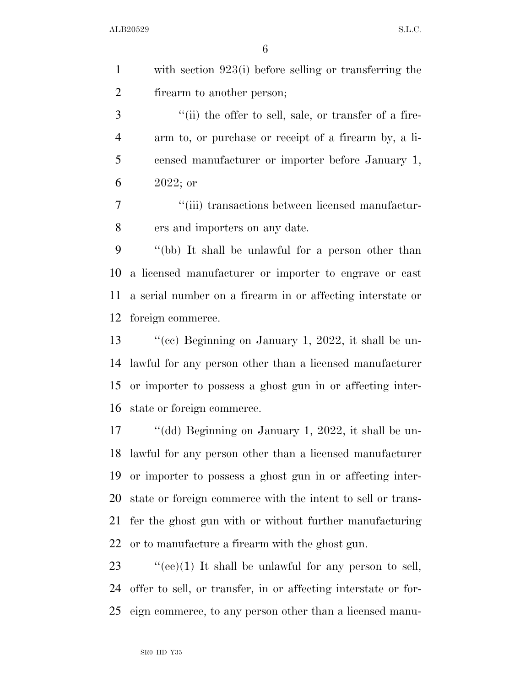with section 923(i) before selling or transferring the firearm to another person;

3 ''(ii) the offer to sell, sale, or transfer of a fire- arm to, or purchase or receipt of a firearm by, a li- censed manufacturer or importer before January 1, 2022; or

 ''(iii) transactions between licensed manufactur-ers and importers on any date.

 ''(bb) It shall be unlawful for a person other than a licensed manufacturer or importer to engrave or cast a serial number on a firearm in or affecting interstate or foreign commerce.

 ''(cc) Beginning on January 1, 2022, it shall be un- lawful for any person other than a licensed manufacturer or importer to possess a ghost gun in or affecting inter-state or foreign commerce.

 ''(dd) Beginning on January 1, 2022, it shall be un- lawful for any person other than a licensed manufacturer or importer to possess a ghost gun in or affecting inter- state or foreign commerce with the intent to sell or trans- fer the ghost gun with or without further manufacturing or to manufacture a firearm with the ghost gun.

23  $\cdot$  "(ee)(1) It shall be unlawful for any person to sell, offer to sell, or transfer, in or affecting interstate or for-eign commerce, to any person other than a licensed manu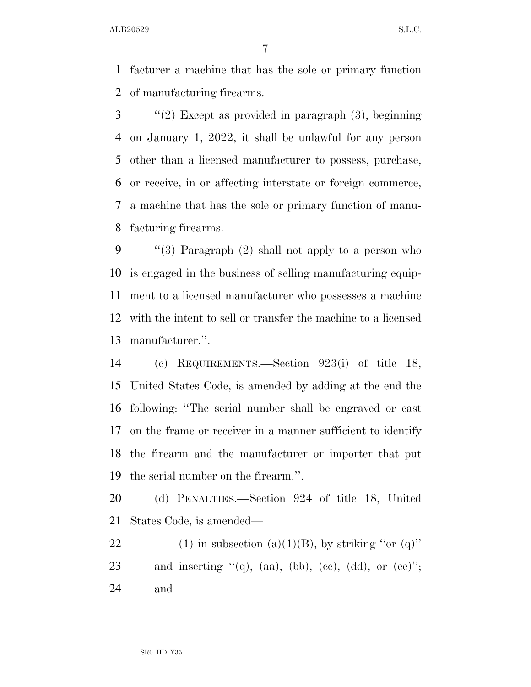ALB20529 S.L.C.

 facturer a machine that has the sole or primary function of manufacturing firearms.

 ''(2) Except as provided in paragraph (3), beginning on January 1, 2022, it shall be unlawful for any person other than a licensed manufacturer to possess, purchase, or receive, in or affecting interstate or foreign commerce, a machine that has the sole or primary function of manu-facturing firearms.

 ''(3) Paragraph (2) shall not apply to a person who is engaged in the business of selling manufacturing equip- ment to a licensed manufacturer who possesses a machine with the intent to sell or transfer the machine to a licensed manufacturer.''.

 (c) REQUIREMENTS.—Section 923(i) of title 18, United States Code, is amended by adding at the end the following: ''The serial number shall be engraved or cast on the frame or receiver in a manner sufficient to identify the firearm and the manufacturer or importer that put the serial number on the firearm.''.

 (d) PENALTIES.—Section 924 of title 18, United States Code, is amended—

22 (1) in subsection (a)(1)(B), by striking "or (q)" 23 and inserting  $\mathfrak{t}(\mathfrak{q})$ , (aa), (bb), (cc), (dd), or (ee)"; and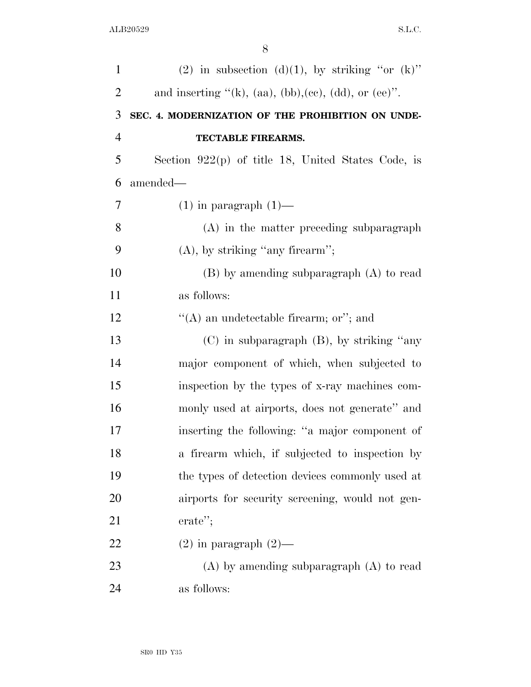| $\mathbf{1}$   | (2) in subsection (d)(1), by striking "or $(k)$ "         |
|----------------|-----------------------------------------------------------|
| $\overline{2}$ | and inserting " $(k)$ , (aa), (bb), (ee), (dd), or (ee)". |
| 3              | SEC. 4. MODERNIZATION OF THE PROHIBITION ON UNDE-         |
| $\overline{4}$ | TECTABLE FIREARMS.                                        |
| 5              | Section $922(p)$ of title 18, United States Code, is      |
| 6              | amended—                                                  |
| 7              | $(1)$ in paragraph $(1)$ —                                |
| 8              | $(A)$ in the matter preceding subparagraph                |
| 9              | $(A)$ , by striking "any firearm";                        |
| 10             | $(B)$ by amending subparagraph $(A)$ to read              |
| 11             | as follows:                                               |
| 12             | "(A) an undetectable firearm; or"; and                    |
| 13             | $(C)$ in subparagraph $(B)$ , by striking "any            |
| 14             | major component of which, when subjected to               |
| 15             | inspection by the types of x-ray machines com-            |
| 16             | monly used at airports, does not generate" and            |
| 17             | inserting the following: "a major component of            |
| 18             | a firearm which, if subjected to inspection by            |
| 19             | the types of detection devices commonly used at           |
| 20             | airports for security screening, would not gen-           |
| 21             | erate";                                                   |
| 22             | $(2)$ in paragraph $(2)$ —                                |
| 23             | $(A)$ by amending subparagraph $(A)$ to read              |
| 24             | as follows:                                               |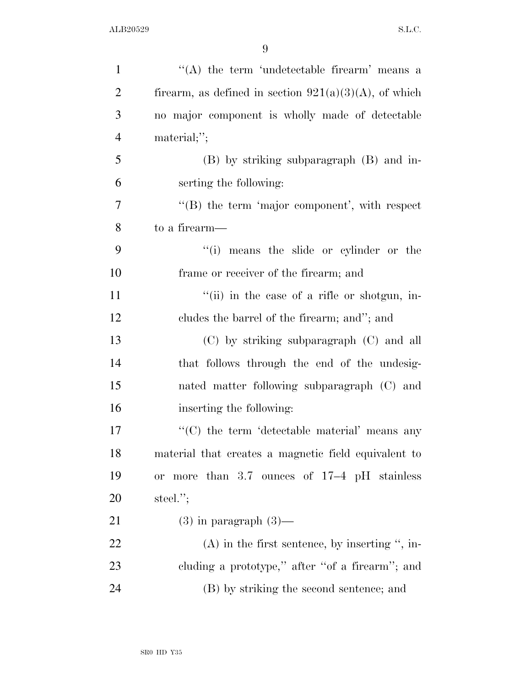| $\mathbf{1}$   | "(A) the term 'undetectable firearm' means a             |
|----------------|----------------------------------------------------------|
| $\overline{2}$ | firearm, as defined in section $921(a)(3)(A)$ , of which |
| 3              | no major component is wholly made of detectable          |
| $\overline{4}$ | material;";                                              |
| 5              | (B) by striking subparagraph (B) and in-                 |
| 6              | serting the following:                                   |
| $\overline{7}$ | $\lq\lq$ the term 'major component', with respect        |
| 8              | to a firearm—                                            |
| 9              | "(i) means the slide or cylinder or the                  |
| 10             | frame or receiver of the firearm; and                    |
| 11             | "(ii) in the case of a rifle or shotgun, in-             |
| 12             | cludes the barrel of the firearm; and"; and              |
| 13             | (C) by striking subparagraph (C) and all                 |
| 14             | that follows through the end of the undesig-             |
| 15             | nated matter following subparagraph (C) and              |
| 16             | inserting the following:                                 |
| 17             | $\lq\lq$ the term 'detectable material' means any        |
| 18             | material that creates a magnetic field equivalent to     |
| 19             | more than $3.7$ ounces of $17-4$ pH stainless<br>or      |
| <b>20</b>      | steel. $";$                                              |
| 21             | $(3)$ in paragraph $(3)$ —                               |
| 22             | $(A)$ in the first sentence, by inserting ", in-         |
| 23             | cluding a prototype," after "of a firearm"; and          |
| 24             | (B) by striking the second sentence; and                 |